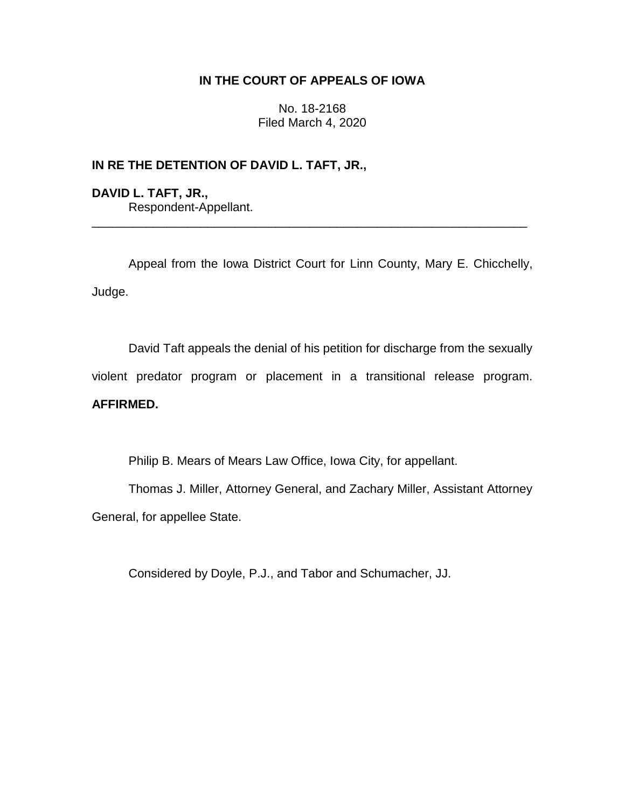## **IN THE COURT OF APPEALS OF IOWA**

No. 18-2168 Filed March 4, 2020

## **IN RE THE DETENTION OF DAVID L. TAFT, JR.,**

**DAVID L. TAFT, JR.,** Respondent-Appellant. \_\_\_\_\_\_\_\_\_\_\_\_\_\_\_\_\_\_\_\_\_\_\_\_\_\_\_\_\_\_\_\_\_\_\_\_\_\_\_\_\_\_\_\_\_\_\_\_\_\_\_\_\_\_\_\_\_\_\_\_\_\_\_\_

Appeal from the Iowa District Court for Linn County, Mary E. Chicchelly, Judge.

David Taft appeals the denial of his petition for discharge from the sexually violent predator program or placement in a transitional release program. **AFFIRMED.**

Philip B. Mears of Mears Law Office, Iowa City, for appellant.

Thomas J. Miller, Attorney General, and Zachary Miller, Assistant Attorney General, for appellee State.

Considered by Doyle, P.J., and Tabor and Schumacher, JJ.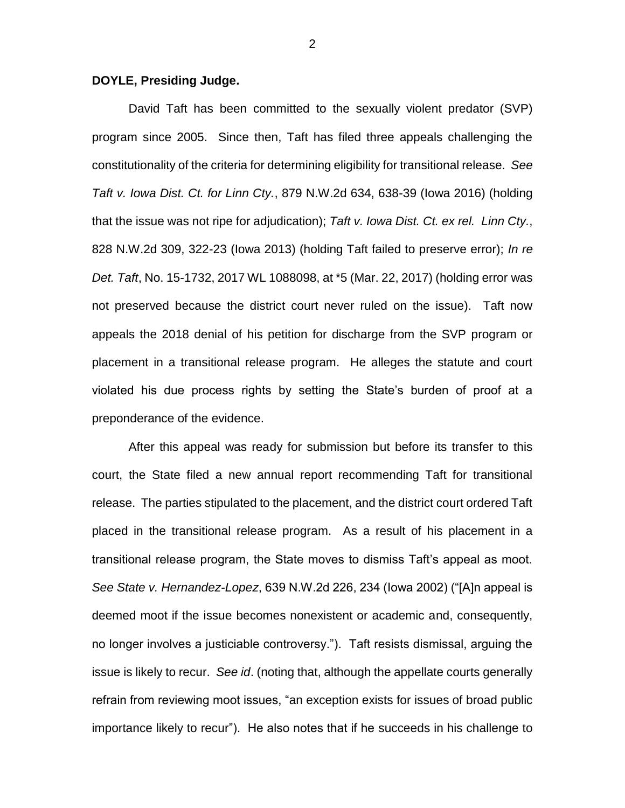## **DOYLE, Presiding Judge.**

David Taft has been committed to the sexually violent predator (SVP) program since 2005. Since then, Taft has filed three appeals challenging the constitutionality of the criteria for determining eligibility for transitional release. *See Taft v. Iowa Dist. Ct. for Linn Cty.*, 879 N.W.2d 634, 638-39 (Iowa 2016) (holding that the issue was not ripe for adjudication); *Taft v. Iowa Dist. Ct. ex rel. Linn Cty.*, 828 N.W.2d 309, 322-23 (Iowa 2013) (holding Taft failed to preserve error); *In re Det. Taft*, No. 15-1732, 2017 WL 1088098, at \*5 (Mar. 22, 2017) (holding error was not preserved because the district court never ruled on the issue). Taft now appeals the 2018 denial of his petition for discharge from the SVP program or placement in a transitional release program. He alleges the statute and court violated his due process rights by setting the State's burden of proof at a preponderance of the evidence.

After this appeal was ready for submission but before its transfer to this court, the State filed a new annual report recommending Taft for transitional release. The parties stipulated to the placement, and the district court ordered Taft placed in the transitional release program. As a result of his placement in a transitional release program, the State moves to dismiss Taft's appeal as moot. *See State v. Hernandez-Lopez*, 639 N.W.2d 226, 234 (Iowa 2002) ("[A]n appeal is deemed moot if the issue becomes nonexistent or academic and, consequently, no longer involves a justiciable controversy."). Taft resists dismissal, arguing the issue is likely to recur. *See id*. (noting that, although the appellate courts generally refrain from reviewing moot issues, "an exception exists for issues of broad public importance likely to recur"). He also notes that if he succeeds in his challenge to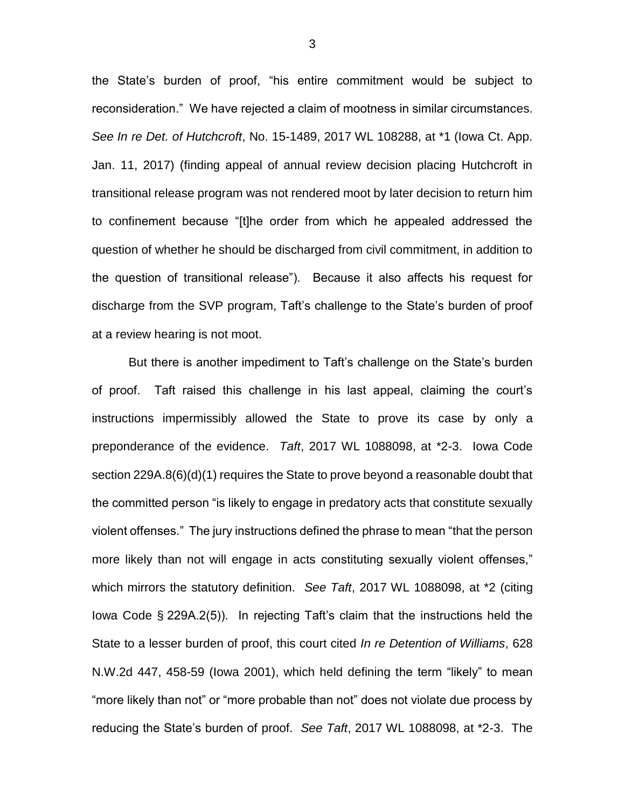the State's burden of proof, "his entire commitment would be subject to reconsideration." We have rejected a claim of mootness in similar circumstances. *See In re Det. of Hutchcroft*, No. 15-1489, 2017 WL 108288, at \*1 (Iowa Ct. App. Jan. 11, 2017) (finding appeal of annual review decision placing Hutchcroft in transitional release program was not rendered moot by later decision to return him to confinement because "[t]he order from which he appealed addressed the question of whether he should be discharged from civil commitment, in addition to the question of transitional release"). Because it also affects his request for discharge from the SVP program, Taft's challenge to the State's burden of proof at a review hearing is not moot.

But there is another impediment to Taft's challenge on the State's burden of proof. Taft raised this challenge in his last appeal, claiming the court's instructions impermissibly allowed the State to prove its case by only a preponderance of the evidence. *Taft*, 2017 WL 1088098, at \*2-3. Iowa Code section 229A.8(6)(d)(1) requires the State to prove beyond a reasonable doubt that the committed person "is likely to engage in predatory acts that constitute sexually violent offenses." The jury instructions defined the phrase to mean "that the person more likely than not will engage in acts constituting sexually violent offenses," which mirrors the statutory definition. *See Taft*, 2017 WL 1088098, at \*2 (citing Iowa Code § 229A.2(5)). In rejecting Taft's claim that the instructions held the State to a lesser burden of proof, this court cited *In re Detention of Williams*, 628 N.W.2d 447, 458-59 (Iowa 2001), which held defining the term "likely" to mean "more likely than not" or "more probable than not" does not violate due process by reducing the State's burden of proof. *See Taft*, 2017 WL 1088098, at \*2-3. The